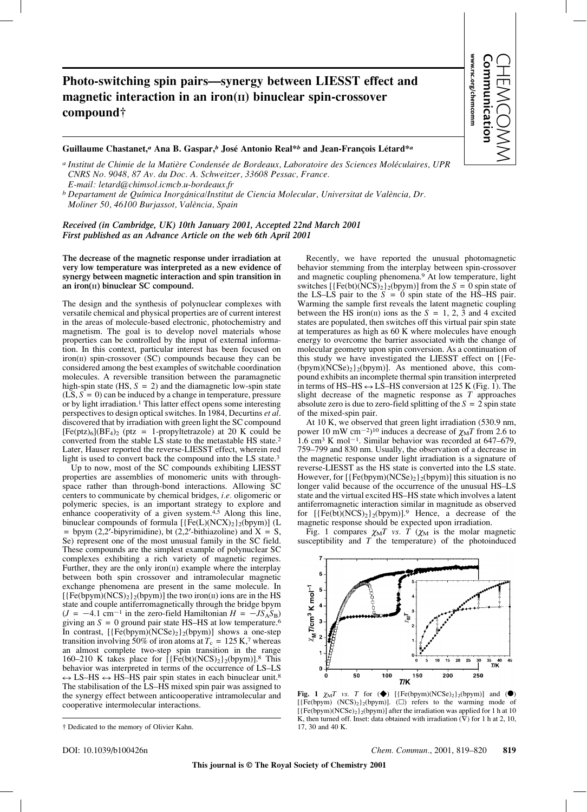## **Photo-switching spin pairs—synergy between LIESST effect and** magnetic interaction in an iron(II) binuclear spin-crossover **compound†**

**Guillaume Chastanet,***<sup>a</sup>* **Ana B. Gaspar,***<sup>b</sup>* **José Antonio Real\****<sup>b</sup>* **and Jean-François Létard\****<sup>a</sup>*

*a Institut de Chimie de la Matière Condensée de Bordeaux, Laboratoire des Sciences Moléculaires, UPR CNRS No. 9048, 87 Av. du Doc. A. Schweitzer, 33608 Pessac, France. E-mail: letard@chimsol.icmcb.u-bordeaux.fr*

*b Departament de Química Inorgánica/Institut de Ciencia Molecular, Universitat de València, Dr. Moliner 50, 46100 Burjassot, València, Spain*

*Received (in Cambridge, UK) 10th January 2001, Accepted 22nd March 2001 First published as an Advance Article on the web 6th April 2001*

**The decrease of the magnetic response under irradiation at very low temperature was interpreted as a new evidence of synergy between magnetic interaction and spin transition in** an iron(II) binuclear SC compound.

The design and the synthesis of polynuclear complexes with versatile chemical and physical properties are of current interest in the areas of molecule-based electronic, photochemistry and magnetism. The goal is to develop novel materials whose properties can be controlled by the input of external information. In this context, particular interest has been focused on  $iron(II)$  spin-crossover (SC) compounds because they can be considered among the best examples of switchable coordination molecules. A reversible transition between the paramagnetic high-spin state  $(HS, S = 2)$  and the diamagnetic low-spin state  $(LS, S = 0)$  can be induced by a change in temperature, pressure or by light irradiation.1 This latter effect opens some interesting perspectives to design optical switches. In 1984, Decurtins *et al*. discovered that by irradiation with green light the SC compound  $[Fe(ptz)<sub>6</sub>](BF<sub>4</sub>)<sub>2</sub>$  (ptz = 1-propyltetrazole) at 20 K could be converted from the stable LS state to the metastable HS state.2 Later, Hauser reported the reverse-LIESST effect, wherein red light is used to convert back the compound into the LS state.3

Up to now, most of the SC compounds exhibiting LIESST properties are assemblies of monomeric units with throughspace rather than through-bond interactions. Allowing SC centers to communicate by chemical bridges, *i.e.* oligomeric or polymeric species, is an important strategy to explore and enhance cooperativity of a given system. $4,5$  Along this line, binuclear compounds of formula  $[\{\text{Fe}(L)(NCX)_2\}_2(\text{bpym})]$  (L = bpym (2,2'-bipyrimidine), bt (2,2'-bithiazoline) and  $X = S$ , Se) represent one of the most unusual family in the SC field. These compounds are the simplest example of polynuclear SC complexes exhibiting a rich variety of magnetic regimes. Further, they are the only iron $(n)$  example where the interplay between both spin crossover and intramolecular magnetic exchange phenomena are present in the same molecule. In  $[$ {Fe(bpym)(NCS)<sub>2</sub>}<sub>2</sub>(bpym)] the two iron( $\pi$ ) ions are in the HS state and couple antiferromagnetically through the bridge bpym  $(J = -4.1 \text{ cm}^{-1}$  in the zero-field Hamiltonian  $H = -JS<sub>A</sub>S<sub>B</sub>$ giving an  $S = 0$  ground pair state HS–HS at low temperature.<sup>6</sup> In contrast,  $[\{Fe(bpym)(NCSe)_2\}_2(bpym)]$  shows a one-step transition involving 50% of iron atoms at  $T_c = 125$  K,<sup>7</sup> whereas an almost complete two-step spin transition in the range 160–210 K takes place for  $\left[ \{ \text{Fe(bt)}(NCS)_2 \} _2(\text{bpym}) \right]$ .<sup>8</sup> This behavior was interpreted in terms of the occurrence of LS–LS  $\leftrightarrow$  LS–HS  $\leftrightarrow$  HS–HS pair spin states in each binuclear unit.<sup>8</sup> The stabilisation of the LS–HS mixed spin pair was assigned to the synergy effect between anticooperative intramolecular and cooperative intermolecular interactions.

Recently, we have reported the unusual photomagnetic behavior stemming from the interplay between spin-crossover and magnetic coupling phenomena.<sup>9</sup> At low temperature, light switches  $[{Fe(bt)(NCS)<sub>2</sub>}_{2}(bpym)]$  from the  $S = 0$  spin state of the LS–LS pair to the  $S = 0$  spin state of the HS–HS pair. Warming the sample first reveals the latent magnetic coupling between the HS iron(II) ions as the  $S = 1, 2, 3$  and 4 excited states are populated, then switches off this virtual pair spin state at temperatures as high as 60 K where molecules have enough energy to overcome the barrier associated with the change of molecular geometry upon spin conversion. As a continuation of this study we have investigated the LIESST effect on [{Fe- (bpym)( $NCSe$ )<sub>2</sub>}<sub>2</sub>(bpym)]. As mentioned above, this compound exhibits an incomplete thermal spin transition interpreted in terms of HS–HS  $\leftrightarrow$  LS–HS conversion at 125 K (Fig. 1). The slight decrease of the magnetic response as *T* approaches absolute zero is due to zero-field splitting of the  $S = 2$  spin state of the mixed-spin pair.

**www.rsc.org/chemcomm Communication** CHEMCOMM

municatio

www.rsc.org/chemcomm

At 10 K, we observed that green light irradiation (530.9 nm, power 10 mW cm<sup>-2</sup>)<sup>10</sup> induces a decrease of  $\chi<sub>M</sub>T$  from 2.6 to 1.6 cm<sup>3</sup> K mol<sup>-1</sup>. Similar behavior was recorded at 647–679, 759–799 and 830 nm. Usually, the observation of a decrease in the magnetic response under light irradiation is a signature of reverse-LIESST as the HS state is converted into the LS state. However, for  $[{Fe(bpym)(NCSe)_2}_2(bpym)]$  this situation is no longer valid because of the occurrence of the unusual HS–LS state and the virtual excited HS–HS state which involves a latent antiferromagnetic interaction similar in magnitude as observed for  $[\{Fe(bt)(NCS)_2\}_2(bpym)]$ .<sup>9</sup> Hence, a decrease of the magnetic response should be expected upon irradiation.

Fig. 1 compares  $\chi_M T$  vs. T ( $\chi_M$  is the molar magnetic susceptibility and *T* the temperature) of the photoinduced



**Fig. 1**  $\chi_M T$  vs. T for  $(\bullet)$  [{Fe(bpym)(NCSe)<sub>2</sub>}<sub>2</sub>(bpym)] and  $(\bullet)$ [ ${[Fe(bpym) (NCS)_2}_2(bpym)]$ . ( $\square$ ) refers to the warming mode of  $[{Fe(bpym)(NCSe)_2}_2(bpym)]$  after the irradiation was applied for 1 h at 10 K, then turned off. Inset: data obtained with irradiation  $(\nabla)$  for 1 h at 2, 10, 17, 30 and 40 K.

<sup>†</sup> Dedicated to the memory of Olivier Kahn.